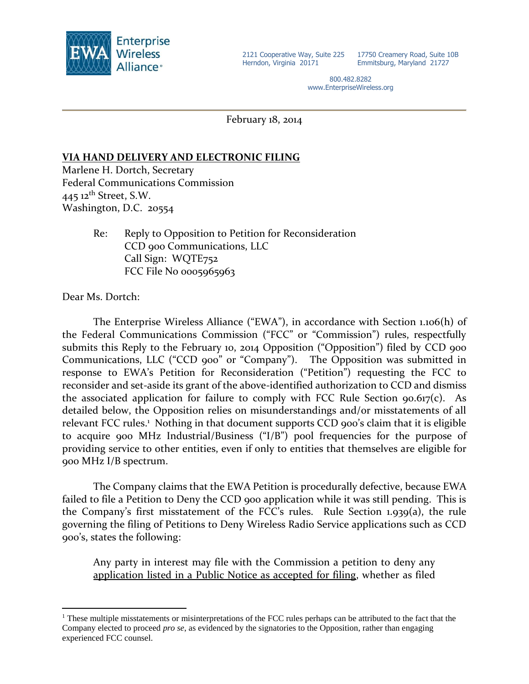

17750 Creamery Road, Suite 10B Emmitsburg, Maryland 21727

800.482.8282 www.EnterpriseWireless.org

February 18, 2014

# **VIA HAND DELIVERY AND ELECTRONIC FILING**

Marlene H. Dortch, Secretary Federal Communications Commission 445  $12^{th}$  Street, S.W. Washington, D.C. 20554

> Re: Reply to Opposition to Petition for Reconsideration CCD 900 Communications, LLC Call Sign: WQTE752 FCC File No 0005965963

Dear Ms. Dortch:

 $\overline{a}$ 

The Enterprise Wireless Alliance ("EWA"), in accordance with Section 1.106(h) of the Federal Communications Commission ("FCC" or "Commission") rules, respectfully submits this Reply to the February 10, 2014 Opposition ("Opposition") filed by CCD 900 Communications, LLC ("CCD 900" or "Company"). The Opposition was submitted in response to EWA's Petition for Reconsideration ("Petition") requesting the FCC to reconsider and set-aside its grant of the above-identified authorization to CCD and dismiss the associated application for failure to comply with FCC Rule Section 90.617(c). As detailed below, the Opposition relies on misunderstandings and/or misstatements of all relevant FCC rules.<sup>1</sup> Nothing in that document supports CCD 900's claim that it is eligible to acquire 900 MHz Industrial/Business ("I/B") pool frequencies for the purpose of providing service to other entities, even if only to entities that themselves are eligible for 900 MHz I/B spectrum.

The Company claims that the EWA Petition is procedurally defective, because EWA failed to file a Petition to Deny the CCD 900 application while it was still pending. This is the Company's first misstatement of the FCC's rules. Rule Section 1.939(a), the rule governing the filing of Petitions to Deny Wireless Radio Service applications such as CCD 900's, states the following:

Any party in interest may file with the Commission a petition to deny any application listed in a Public Notice as accepted for filing, whether as filed

<sup>&</sup>lt;sup>1</sup> These multiple misstatements or misinterpretations of the FCC rules perhaps can be attributed to the fact that the Company elected to proceed *pro se*, as evidenced by the signatories to the Opposition, rather than engaging experienced FCC counsel.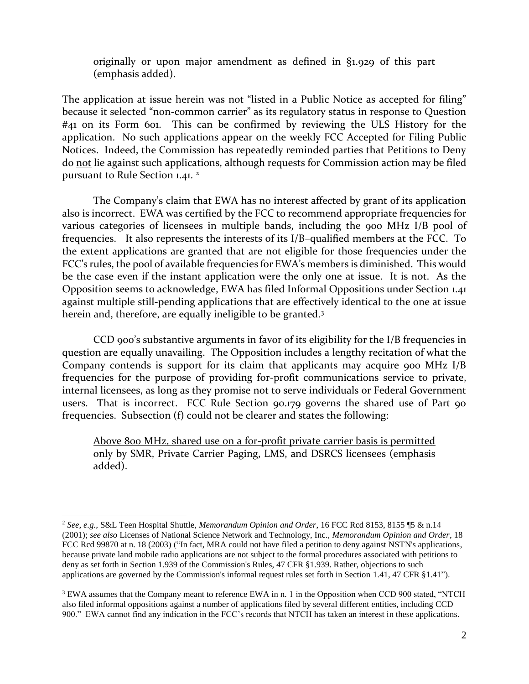originally or upon major amendment as defined in §1.929 of this part (emphasis added).

The application at issue herein was not "listed in a Public Notice as accepted for filing" because it selected "non-common carrier" as its regulatory status in response to Question #41 on its Form 601. This can be confirmed by reviewing the ULS History for the application. No such applications appear on the weekly FCC Accepted for Filing Public Notices. Indeed, the Commission has repeatedly reminded parties that Petitions to Deny do not lie against such applications, although requests for Commission action may be filed pursuant to Rule Section 1.41.<sup>2</sup>

The Company's claim that EWA has no interest affected by grant of its application also is incorrect. EWA was certified by the FCC to recommend appropriate frequencies for various categories of licensees in multiple bands, including the 900 MHz I/B pool of frequencies. It also represents the interests of its I/B–qualified members at the FCC. To the extent applications are granted that are not eligible for those frequencies under the FCC's rules, the pool of available frequencies for EWA's members is diminished. This would be the case even if the instant application were the only one at issue. It is not. As the Opposition seems to acknowledge, EWA has filed Informal Oppositions under Section 1.41 against multiple still-pending applications that are effectively identical to the one at issue herein and, therefore, are equally ineligible to be granted.<sup>3</sup>

CCD 900's substantive arguments in favor of its eligibility for the I/B frequencies in question are equally unavailing. The Opposition includes a lengthy recitation of what the Company contends is support for its claim that applicants may acquire 900 MHz I/B frequencies for the purpose of providing for-profit communications service to private, internal licensees, as long as they promise not to serve individuals or Federal Government users. That is incorrect. FCC Rule Section 90.179 governs the shared use of Part 90 frequencies. Subsection (f) could not be clearer and states the following:

Above 800 MHz, shared use on a for-profit private carrier basis is permitted only by SMR, Private Carrier Paging, LMS, and DSRCS licensees (emphasis added).

 $\overline{a}$ 

<sup>2</sup> *See, e.g.,* S&L Teen Hospital Shuttle, *Memorandum Opinion and Order*, 16 FCC Rcd 8153, 8155 ¶5 & n.14 (2001); *see also* Licenses of National Science Network and Technology, Inc., *Memorandum Opinion and Order*, 18 FCC Rcd 99870 at n. 18 (2003) ("In fact, MRA could not have filed a petition to deny against NSTN's applications, because private land mobile radio applications are not subject to the formal procedures associated with petitions to deny as set forth in Section 1.939 of the Commission's Rules, 47 CFR §1.939. Rather, objections to such applications are governed by the Commission's informal request rules set forth in Section 1.41, 47 CFR §1.41").

<sup>&</sup>lt;sup>3</sup> EWA assumes that the Company meant to reference EWA in n. 1 in the Opposition when CCD 900 stated, "NTCH also filed informal oppositions against a number of applications filed by several different entities, including CCD 900." EWA cannot find any indication in the FCC's records that NTCH has taken an interest in these applications.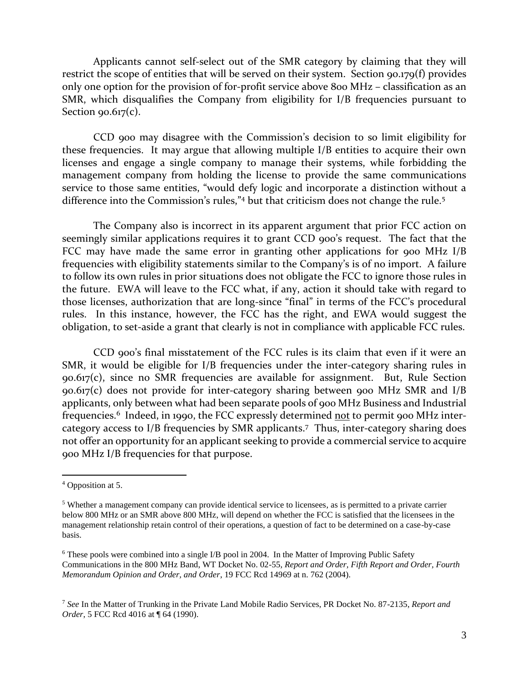Applicants cannot self-select out of the SMR category by claiming that they will restrict the scope of entities that will be served on their system. Section 90.179(f) provides only one option for the provision of for-profit service above 800 MHz – classification as an SMR, which disqualifies the Company from eligibility for I/B frequencies pursuant to Section  $90.617(c)$ .

CCD 900 may disagree with the Commission's decision to so limit eligibility for these frequencies. It may argue that allowing multiple I/B entities to acquire their own licenses and engage a single company to manage their systems, while forbidding the management company from holding the license to provide the same communications service to those same entities, "would defy logic and incorporate a distinction without a difference into the Commission's rules,"<sup>4</sup> but that criticism does not change the rule.<sup>5</sup>

The Company also is incorrect in its apparent argument that prior FCC action on seemingly similar applications requires it to grant CCD 900's request. The fact that the FCC may have made the same error in granting other applications for 900 MHz I/B frequencies with eligibility statements similar to the Company's is of no import. A failure to follow its own rules in prior situations does not obligate the FCC to ignore those rules in the future. EWA will leave to the FCC what, if any, action it should take with regard to those licenses, authorization that are long-since "final" in terms of the FCC's procedural rules. In this instance, however, the FCC has the right, and EWA would suggest the obligation, to set-aside a grant that clearly is not in compliance with applicable FCC rules.

CCD 900's final misstatement of the FCC rules is its claim that even if it were an SMR, it would be eligible for I/B frequencies under the inter-category sharing rules in 90.617(c), since no SMR frequencies are available for assignment. But, Rule Section 90.617(c) does not provide for inter-category sharing between 900 MHz SMR and I/B applicants, only between what had been separate pools of 900 MHz Business and Industrial frequencies.<sup>6</sup> Indeed, in 1990, the FCC expressly determined <u>not</u> to permit 900 MHz intercategory access to I/B frequencies by SMR applicants. 7 Thus, inter-category sharing does not offer an opportunity for an applicant seeking to provide a commercial service to acquire 900 MHz I/B frequencies for that purpose.

 $\overline{a}$ 

<sup>4</sup> Opposition at 5.

<sup>5</sup> Whether a management company can provide identical service to licensees, as is permitted to a private carrier below 800 MHz or an SMR above 800 MHz, will depend on whether the FCC is satisfied that the licensees in the management relationship retain control of their operations, a question of fact to be determined on a case-by-case basis.

<sup>6</sup> These pools were combined into a single I/B pool in 2004. In the Matter of Improving Public Safety Communications in the 800 MHz Band, WT Docket No. 02-55*, Report and Order, Fifth Report and Order, Fourth Memorandum Opinion and Order, and Order*, 19 FCC Rcd 14969 at n. 762 (2004).

<sup>7</sup> *See* In the Matter of Trunking in the Private Land Mobile Radio Services, PR Docket No. 87-2135, *Report and Order*, 5 FCC Rcd 4016 at ¶ 64 (1990).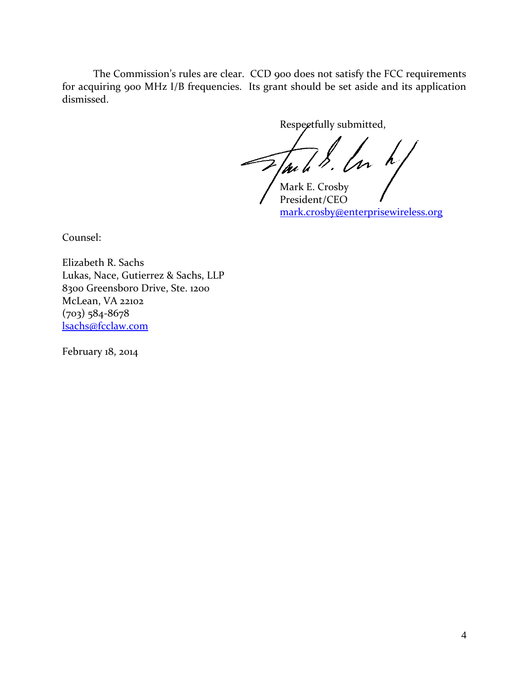The Commission's rules are clear. CCD 900 does not satisfy the FCC requirements for acquiring 900 MHz I/B frequencies. Its grant should be set aside and its application dismissed.

Respectfully submitted,

Jack S. Los h/

President/CEO [mark.crosby@enterprisewireless.org](mailto:mark.crosby@enterprisewireless.org)

Counsel:

Elizabeth R. Sachs Lukas, Nace, Gutierrez & Sachs, LLP 8300 Greensboro Drive, Ste. 1200 McLean, VA 22102 (703) 584-8678 [lsachs@fcclaw.com](mailto:lsachs@fcclaw.com)

February 18, 2014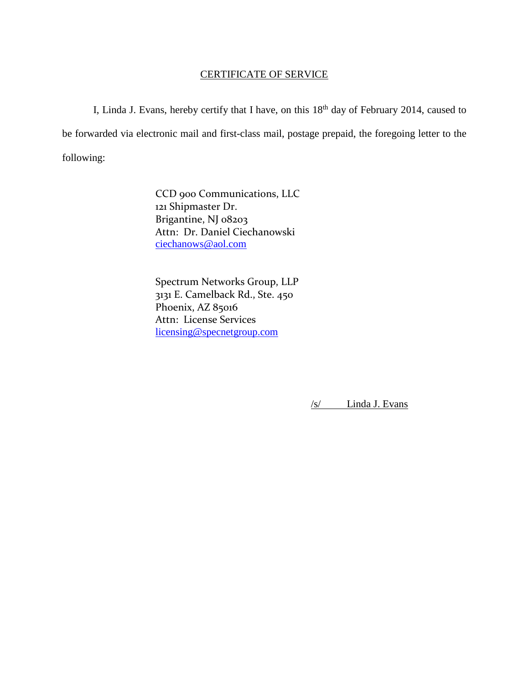# CERTIFICATE OF SERVICE

I, Linda J. Evans, hereby certify that I have, on this  $18<sup>th</sup>$  day of February 2014, caused to be forwarded via electronic mail and first-class mail, postage prepaid, the foregoing letter to the following:

> CCD 900 Communications, LLC 121 Shipmaster Dr. Brigantine, NJ 08203 Attn: Dr. Daniel Ciechanowski [ciechanows@aol.com](mailto:ciechanows@aol.com)

Spectrum Networks Group, LLP 3131 E. Camelback Rd., Ste. 450 Phoenix, AZ 85016 Attn: License Services [licensing@specnetgroup.com](mailto:licensing@specnetgroup.com)

/s/ Linda J. Evans